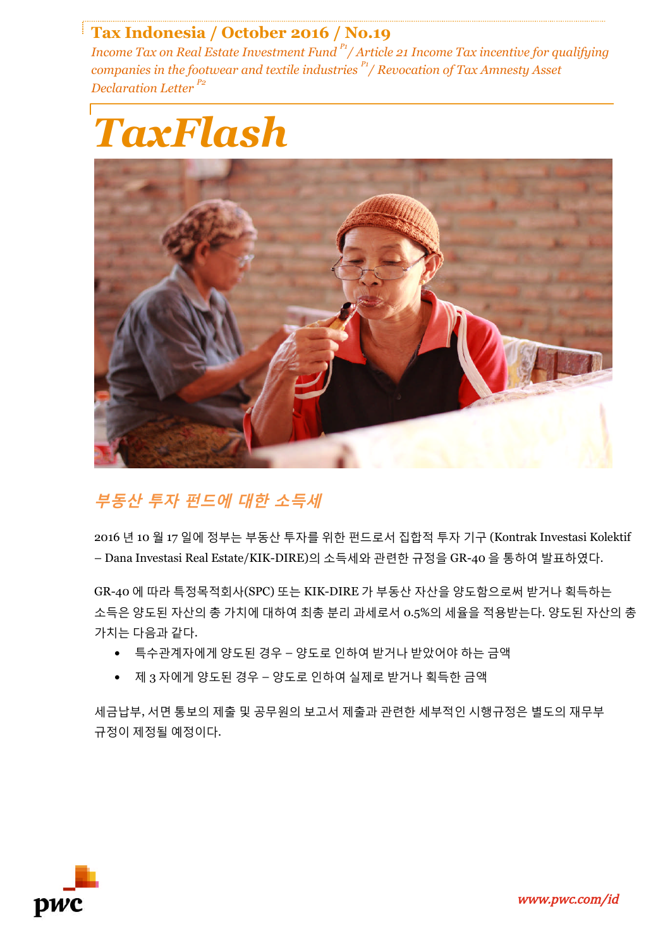### **Tax Indonesia / October 2016 / No.19**

*Income Tax on Real Estate Investment Fund P1/ Article 21 Income Tax incentive for qualifying companies in the footwear and textile industries P1/ Revocation of Tax Amnesty Asset Declaration Letter P2*





## **부동산 투자 펀드에 대한 소득세**

2016 년 10 월 17 일에 정부는 부동산 투자를 위한 펀드로서 집합적 투자 기구 (Kontrak Investasi Kolektif – Dana Investasi Real Estate/KIK-DIRE)의 소득세와 관련한 규정을 GR-40 을 통하여 발표하였다.

GR-40 에 따라 특정목적회사(SPC) 또는 KIK-DIRE 가 부동산 자산을 양도함으로써 받거나 획득하는 소득은 양도된 자산의 총 가치에 대하여 최총 분리 과세로서 0.5%의 세율을 적용받는다. 양도된 자산의 총 가치는 다음과 같다.

- 특수관계자에게 양도된 경우 양도로 인하여 받거나 받았어야 하는 금액
- 제 3 자에게 양도된 경우 양도로 인하여 실제로 받거나 획득한 금액

세금납부, 서면 통보의 제출 및 공무원의 보고서 제출과 관련한 세부적인 시행규정은 별도의 재무부 규정이 제정될 예정이다.

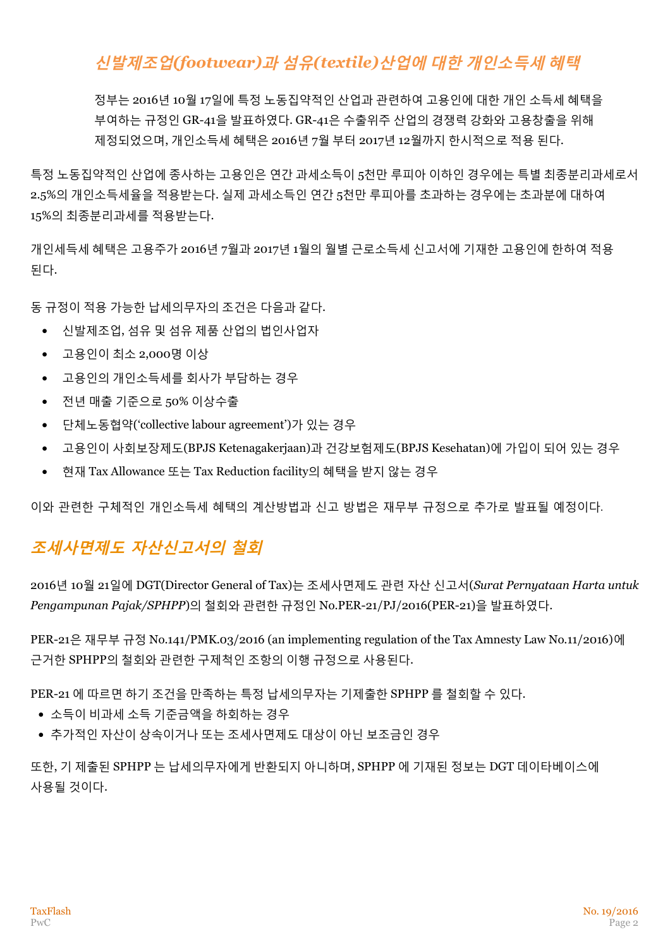# **신발제조업***(footwear)***과 섬유***(textile)***산업에 대한 개인소득세 혜택**

정부는 2016년 10월 17일에 특정 노동집약적인 산업과 관련하여 고용인에 대한 개인 소득세 혜택을 부여하는 규정인 GR-41을 발표하였다. GR-41은 수출위주 산업의 경쟁력 강화와 고용창출을 위해 제정되었으며, 개인소득세 혜택은 2016년 7월 부터 2017년 12월까지 한시적으로 적용 된다.

특정 노동집약적인 산업에 종사하는 고용인은 연간 과세소득이 5천만 루피아 이하인 경우에는 특별 최종분리과세로서 2.5%의 개인소득세율을 적용받는다. 실제 과세소득인 연간 5천만 루피아를 초과하는 경우에는 초과분에 대하여 15%의 최종분리과세를 적용받는다.

개인세득세 혜택은 고용주가 2016년 7월과 2017년 1월의 월별 근로소득세 신고서에 기재한 고용인에 한하여 적용 된다.

동 규정이 적용 가능한 납세의무자의 조건은 다음과 같다.

- 신발제조업, 섬유 및 섬유 제품 산업의 법인사업자
- 고용인이 최소 2,000명 이상
- 고용인의 개인소득세를 회사가 부담하는 경우
- 전년 매출 기준으로 50% 이상수출
- 단체노동협약('collective labour agreement')가 있는 경우
- 고용인이 사회보장제도(BPJS Ketenagakerjaan)과 건강보험제도(BPJS Kesehatan)에 가입이 되어 있는 경우
- 현재 Tax Allowance 또는 Tax Reduction facility의 혜택을 받지 않는 경우

이와 관련한 구체적인 개인소득세 혜택의 계산방법과 신고 방법은 재무부 규정으로 추가로 발표될 예정이다.

## **조세사면제도 자산신고서의 철회**

2016년 10월 21일에 DGT(Director General of Tax)는 조세사면제도 관련 자산 신고서(*Surat Pernyataan Harta untuk Pengampunan Pajak/SPHPP*)의 철회와 관련한 규정인 No.PER-21/PJ/2016(PER-21)을 발표하였다.

PER-21은 재무부 규정 No.141/PMK.03/2016 (an implementing regulation of the Tax Amnesty Law No.11/2016)에 근거한 SPHPP의 철회와 관련한 구제척인 조항의 이행 규정으로 사용된다.

PER-21 에 따르면 하기 조건을 만족하는 특정 납세의무자는 기제출한 SPHPP 를 철회할 수 있다.

- 소득이 비과세 소득 기준금액을 하회하는 경우
- 추가적인 자산이 상속이거나 또는 조세사면제도 대상이 아닌 보조금인 경우

또한, 기 제출된 SPHPP 는 납세의무자에게 반환되지 아니하며, SPHPP 에 기재된 정보는 DGT 데이타베이스에 사용될 것이다.